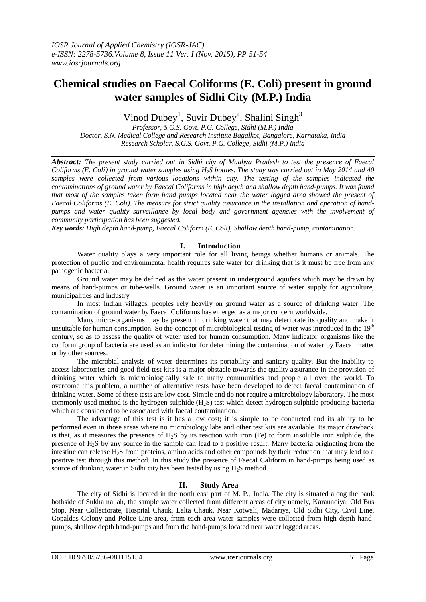# **Chemical studies on Faecal Coliforms (E. Coli) present in ground water samples of Sidhi City (M.P.) India**

Vinod Dubey<sup>1</sup>, Suvir Dubey<sup>2</sup>, Shalini Singh<sup>3</sup>

*Professor, S.G.S. Govt. P.G. College, Sidhi (M.P.) India Doctor, S.N. Medical College and Research Institute Bagalkot, Bangalore, Karnataka, India Research Scholar, S.G.S. Govt. P.G. College, Sidhi (M.P.) India*

*Abstract: The present study carried out in Sidhi city of Madhya Pradesh to test the presence of Faecal Coliforms (E. Coli) in ground water samples using H2S bottles. The study was carried out in May 2014 and 40 samples were collected from various locations within city. The testing of the samples indicated the contaminations of ground water by Faecal Coliforms in high depth and shallow depth hand-pumps. It was found that most of the samples taken form hand pumps located near the water logged area showed the present of Faecal Coliforms (E. Coli). The measure for strict quality assurance in the installation and operation of handpumps and water quality surveillance by local body and government agencies with the involvement of community participation has been suggested.* 

*Key words: High depth hand-pump, Faecal Coliform (E. Coli), Shallow depth hand-pump, contamination.* 

## **I. Introduction**

Water quality plays a very important role for all living beings whether humans or animals. The protection of public and environmental health requires safe water for drinking that is it must be free from any pathogenic bacteria.

Ground water may be defined as the water present in underground aquifers which may be drawn by means of hand-pumps or tube-wells. Ground water is an important source of water supply for agriculture, municipalities and industry.

In most Indian villages, peoples rely heavily on ground water as a source of drinking water. The contamination of ground water by Faecal Coliforms has emerged as a major concern worldwide.

Many micro-organisms may be present in drinking water that may deteriorate its quality and make it unsuitable for human consumption. So the concept of microbiological testing of water was introduced in the 19<sup>th</sup> century, so as to assess the quality of water used for human consumption. Many indicator organisms like the coliform group of bacteria are used as an indicator for determining the contamination of water by Faecal matter or by other sources.

The microbial analysis of water determines its portability and sanitary quality. But the inability to access laboratories and good field test kits is a major obstacle towards the quality assurance in the provision of drinking water which is microbiologically safe to many communities and people all over the world. To overcome this problem, a number of alternative tests have been developed to detect faecal contamination of drinking water. Some of these tests are low cost. Simple and do not require a microbiology laboratory. The most commonly used method is the hydrogen sulphide  $(H_2S)$  test which detect hydrogen sulphide producing bacteria which are considered to be associated with faecal contamination.

The advantage of this test is it has a low cost; it is simple to be conducted and its ability to be performed even in those areas where no microbiology labs and other test kits are available. Its major drawback is that, as it measures the presence of H2S by its reaction with iron (Fe) to form insoluble iron sulphide, the presence of H2S by any source in the sample can lead to a positive result. Many bacteria originating from the intestine can release H2S from proteins, amino acids and other compounds by their reduction that may lead to a positive test through this method. In this study the presence of Faecal Caliform in hand-pumps being used as source of drinking water in Sidhi city has been tested by using H<sub>2</sub>S method.

### **II. Study Area**

The city of Sidhi is located in the north east part of M. P., India. The city is situated along the bank bothside of Sukha nallah, the sample water collected from different areas of city namely, Karaundiya, Old Bus Stop, Near Collectorate, Hospital Chauk, Lalta Chauk, Near Kotwali, Madariya, Old Sidhi City, Civil Line, Gopaldas Colony and Police Line area, from each area water samples were collected from high depth handpumps, shallow depth hand-pumps and from the hand-pumps located near water logged areas.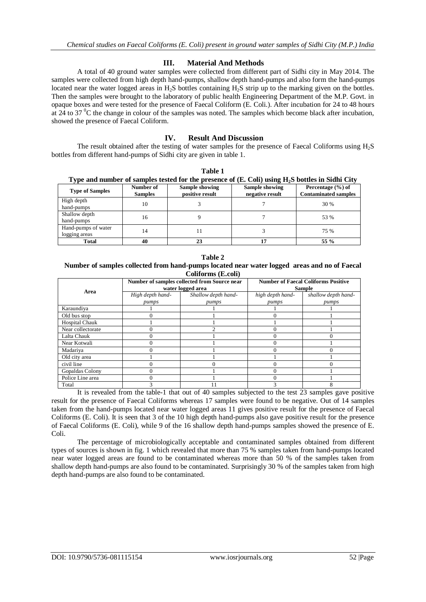### **III. Material And Methods**

A total of 40 ground water samples were collected from different part of Sidhi city in May 2014. The samples were collected from high depth hand-pumps, shallow depth hand-pumps and also form the hand-pumps located near the water logged areas in  $H_2S$  bottles containing  $H_2S$  strip up to the marking given on the bottles. Then the samples were brought to the laboratory of public health Engineering Department of the M.P. Govt. in opaque boxes and were tested for the presence of Faecal Coliform (E. Coli.). After incubation for 24 to 48 hours at 24 to 37  $\mathrm{^0C}$  the change in colour of the samples was noted. The samples which become black after incubation, showed the presence of Faecal Coliform.

### **IV. Result And Discussion**

The result obtained after the testing of water samples for the presence of Faecal Coliforms using H2S bottles from different hand-pumps of Sidhi city are given in table 1.

**Table 1** 

| Type and number of samples tested for the presence of $(E. Coli)$ using $H_2S$ bottles in Sidhi City |                             |                                   |                                   |                                                  |  |  |  |
|------------------------------------------------------------------------------------------------------|-----------------------------|-----------------------------------|-----------------------------------|--------------------------------------------------|--|--|--|
| <b>Type of Samples</b>                                                                               | Number of<br><b>Samples</b> | Sample showing<br>positive result | Sample showing<br>negative result | Percentage (%) of<br><b>Contaminated samples</b> |  |  |  |
| High depth<br>hand-pumps                                                                             | 10                          |                                   |                                   | 30 %                                             |  |  |  |
| Shallow depth<br>hand-pumps                                                                          | 16                          |                                   |                                   | 53 %                                             |  |  |  |
| Hand-pumps of water<br>logging areas                                                                 | 14                          | 11                                |                                   | 75 %                                             |  |  |  |
| Total                                                                                                | 40                          | 23                                |                                   | 55 %                                             |  |  |  |

#### **Table 2 Number of samples collected from hand-pumps located near water logged areas and no of Faecal Coliforms (E.coli)**

| Area                  | Number of samples collected from Source near<br>water logged area |                     | <b>Number of Faecal Coliforms Positive</b><br><b>Sample</b> |                     |
|-----------------------|-------------------------------------------------------------------|---------------------|-------------------------------------------------------------|---------------------|
|                       | High depth hand-                                                  | Shallow depth hand- | high depth hand-                                            | shallow depth hand- |
|                       | pumps                                                             | pumps               | pumps                                                       | pumps               |
| Karaundiya            |                                                                   |                     |                                                             |                     |
| Old bus stop          |                                                                   |                     |                                                             |                     |
| <b>Hospital Chauk</b> |                                                                   |                     |                                                             |                     |
| Near collectorate     |                                                                   |                     |                                                             |                     |
| Lalta Chauk           |                                                                   |                     |                                                             |                     |
| Near Kotwali          |                                                                   |                     |                                                             |                     |
| Madariya              |                                                                   |                     |                                                             |                     |
| Old city area         |                                                                   |                     |                                                             |                     |
| civil line            |                                                                   |                     |                                                             |                     |
| Gopaldas Colony       |                                                                   |                     |                                                             |                     |
| Police Line area      |                                                                   |                     |                                                             |                     |
| Total                 |                                                                   | 11                  |                                                             |                     |

It is revealed from the table-1 that out of 40 samples subjected to the test 23 samples gave positive result for the presence of Faecal Coliforms whereas 17 samples were found to be negative. Out of 14 samples taken from the hand-pumps located near water logged areas 11 gives positive result for the presence of Faecal Coliforms (E. Coli). It is seen that 3 of the 10 high depth hand-pumps also gave positive result for the presence of Faecal Coliforms (E. Coli), while 9 of the 16 shallow depth hand-pumps samples showed the presence of E. Coli.

The percentage of microbiologically acceptable and contaminated samples obtained from different types of sources is shown in fig. 1 which revealed that more than 75 % samples taken from hand-pumps located near water logged areas are found to be contaminated whereas more than 50 % of the samples taken from shallow depth hand-pumps are also found to be contaminated. Surprisingly 30 % of the samples taken from high depth hand-pumps are also found to be contaminated.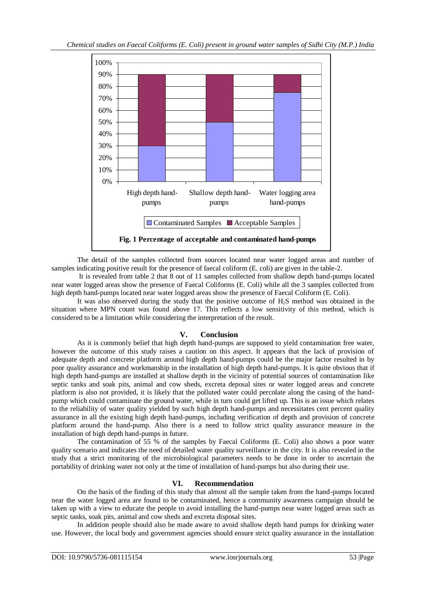

The detail of the samples collected from sources located near water logged areas and number of samples indicating positive result for the presence of faecal coliform (E. coli) are given in the table-2.

It is revealed from table 2 that 8 out of 11 samples collected from shallow depth hand-pumps located near water logged areas show the presence of Faecal Coliforms (E. Coli) while all the 3 samples collected from high depth hand-pumps located near water logged areas show the presence of Faecal Coliform (E. Coli).

It was also observed during the study that the positive outcome of H2S method was obtained in the situation where MPN count was found above 17. This reflects a low sensitivity of this method, which is considered to be a limitation while considering the interpretation of the result.

### **V. Conclusion**

As it is commonly belief that high depth hand-pumps are supposed to yield contamination free water, however the outcome of this study raises a caution on this aspect. It appears that the lack of provision of adequate depth and concrete platform around high depth hand-pumps could be the major factor resulted in by poor quality assurance and workmanship in the installation of high depth hand-pumps. It is quite obvious that if high depth hand-pumps are installed at shallow depth in the vicinity of potential sources of contamination like septic tanks and soak pits, animal and cow sheds, excreta deposal sites or water logged areas and concrete platform is also not provided, it is likely that the polluted water could percolate along the casing of the handpump which could contaminate the ground water, while in turn could get lifted up. This is an issue which relates to the reliability of water quality yielded by such high depth hand-pumps and necessitates cent percent quality assurance in all the existing high depth hand-pumps, including verification of depth and provision of concrete platform around the hand-pump. Also there is a need to follow strict quality assurance measure in the installation of high depth hand-pumps in future.

The contamination of 55 % of the samples by Faecal Coliforms (E. Coli) also shows a poor water quality scenario and indicates the need of detailed water quality surveillance in the city. It is also revealed in the study that a strict monitoring of the microbiological parameters needs to be done in order to ascertain the portability of drinking water not only at the time of installation of hand-pumps but also during their use.

### **VI. Recommendation**

On the basis of the finding of this study that almost all the sample taken from the hand-pumps located near the water logged area are found to be contaminated, hence a community awareness campaign should be taken up with a view to educate the people to avoid installing the hand-pumps near water logged areas such as septic tanks, soak pits, animal and cow sheds and excreta disposal sites.

In addition people should also be made aware to avoid shallow depth hand pumps for drinking water use. However, the local body and government agencies should ensure strict quality assurance in the installation